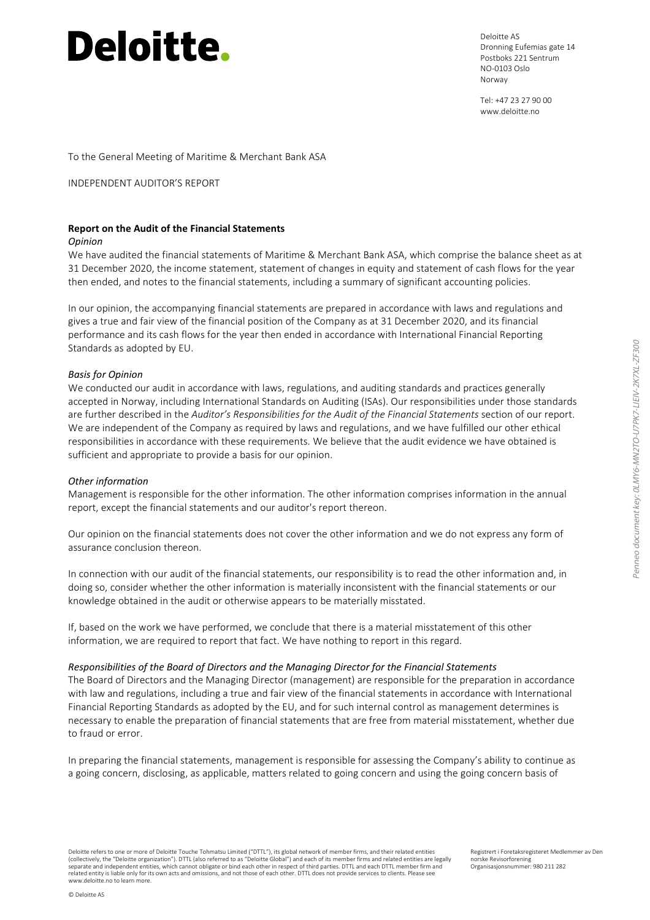# **Deloitte.**

Deloitte AS Dronning Eufemias gate 14 Postboks 221 Sentrum NO-0103 Oslo Norway

Tel: +47 23 27 90 00 www.deloitte.no

INDEPENDENT AUDITOR'S REPORT

#### **Report on the Audit of the Financial Statements**

#### *Opinion*

We have audited the financial statements of Maritime & Merchant Bank ASA, which comprise the balance sheet as at 31 December 2020, the income statement, statement of changes in equity and statement of cash flows for the year then ended, and notes to the financial statements, including a summary of significant accounting policies.

In our opinion, the accompanying financial statements are prepared in accordance with laws and regulations and gives a true and fair view of the financial position of the Company as at 31 December 2020, and its financial performance and its cash flows for the year then ended in accordance with International Financial Reporting Standards as adopted by EU.

#### *Basis for Opinion*

We conducted our audit in accordance with laws, regulations, and auditing standards and practices generally accepted in Norway, including International Standards on Auditing (ISAs). Our responsibilities under those standards are further described in the *Auditor's Responsibilities for the Audit of the Financial Statements* section of our report. We are independent of the Company as required by laws and regulations, and we have fulfilled our other ethical responsibilities in accordance with these requirements. We believe that the audit evidence we have obtained is sufficient and appropriate to provide a basis for our opinion.

#### *Other information*

Management is responsible for the other information. The other information comprises information in the annual report, except the financial statements and our auditor's report thereon.

Our opinion on the financial statements does not cover the other information and we do not express any form of assurance conclusion thereon.

In connection with our audit of the financial statements, our responsibility is to read the other information and, in doing so, consider whether the other information is materially inconsistent with the financial statements or our knowledge obtained in the audit or otherwise appears to be materially misstated.

If, based on the work we have performed, we conclude that there is a material misstatement of this other information, we are required to report that fact. We have nothing to report in this regard.

#### *Responsibilities of the Board of Directors and the Managing Director for the Financial Statements*

The Board of Directors and the Managing Director (management) are responsible for the preparation in accordance with law and regulations, including a true and fair view of the financial statements in accordance with International Financial Reporting Standards as adopted by the EU, and for such internal control as management determines is necessary to enable the preparation of financial statements that are free from material misstatement, whether due to fraud or error.

In preparing the financial statements, management is responsible for assessing the Company's ability to continue as a going concern, disclosing, as applicable, matters related to going concern and using the going concern basis of

Deloitte refers to one or more of Deloitte Touche Tohmatsu Limited ("DTTL"), its global network of member firms, and their related entities (collectively, the "Deloitte organization"). DTTL (also referred to as "Deloitte Global") and each of its member firms and related entities are legally<br>separate and independent entities, which cannot obligate or bind each related entity is liable only for its own acts and omissions, and not those of each other. DTTL does not provide services to clients. Please see www.deloitte.no to learn more.

Registrert i Foretaksregisteret Medlemmer av Den norske Revisorforening Organisasjonsnummer: 980 211 282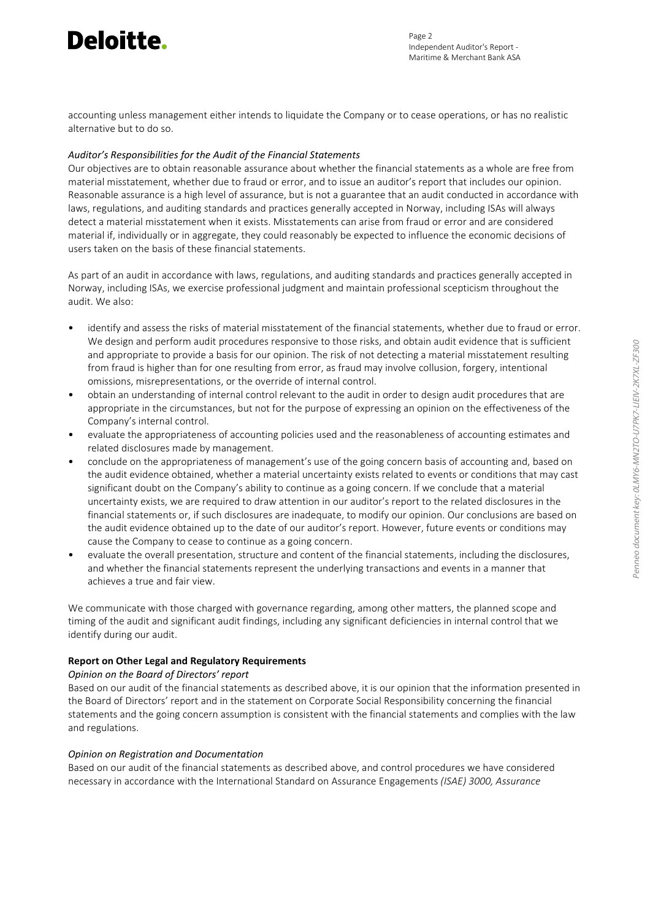### Deloitte.

accounting unless management either intends to liquidate the Company or to cease operations, or has no realistic alternative but to do so.

#### *Auditor's Responsibilities for the Audit of the Financial Statements*

Our objectives are to obtain reasonable assurance about whether the financial statements as a whole are free from material misstatement, whether due to fraud or error, and to issue an auditor's report that includes our opinion. Reasonable assurance is a high level of assurance, but is not a guarantee that an audit conducted in accordance with laws, regulations, and auditing standards and practices generally accepted in Norway, including ISAs will always detect a material misstatement when it exists. Misstatements can arise from fraud or error and are considered material if, individually or in aggregate, they could reasonably be expected to influence the economic decisions of users taken on the basis of these financial statements.

As part of an audit in accordance with laws, regulations, and auditing standards and practices generally accepted in Norway, including ISAs, we exercise professional judgment and maintain professional scepticism throughout the audit. We also:

- identify and assess the risks of material misstatement of the financial statements, whether due to fraud or error. We design and perform audit procedures responsive to those risks, and obtain audit evidence that is sufficient and appropriate to provide a basis for our opinion. The risk of not detecting a material misstatement resulting from fraud is higher than for one resulting from error, as fraud may involve collusion, forgery, intentional omissions, misrepresentations, or the override of internal control.
- obtain an understanding of internal control relevant to the audit in order to design audit procedures that are appropriate in the circumstances, but not for the purpose of expressing an opinion on the effectiveness of the Company's internal control.
- evaluate the appropriateness of accounting policies used and the reasonableness of accounting estimates and related disclosures made by management.
- conclude on the appropriateness of management's use of the going concern basis of accounting and, based on the audit evidence obtained, whether a material uncertainty exists related to events or conditions that may cast significant doubt on the Company's ability to continue as a going concern. If we conclude that a material uncertainty exists, we are required to draw attention in our auditor's report to the related disclosures in the financial statements or, if such disclosures are inadequate, to modify our opinion. Our conclusions are based on the audit evidence obtained up to the date of our auditor's report. However, future events or conditions may cause the Company to cease to continue as a going concern.
- evaluate the overall presentation, structure and content of the financial statements, including the disclosures, and whether the financial statements represent the underlying transactions and events in a manner that achieves a true and fair view.

We communicate with those charged with governance regarding, among other matters, the planned scope and timing of the audit and significant audit findings, including any significant deficiencies in internal control that we identify during our audit.

#### **Report on Other Legal and Regulatory Requirements**

#### *Opinion on the Board of Directors' report*

Based on our audit of the financial statements as described above, it is our opinion that the information presented in the Board of Directors' report and in the statement on Corporate Social Responsibility concerning the financial statements and the going concern assumption is consistent with the financial statements and complies with the law and regulations.

#### *Opinion on Registration and Documentation*

Based on our audit of the financial statements as described above, and control procedures we have considered necessary in accordance with the International Standard on Assurance Engagements *(ISAE) 3000, Assurance*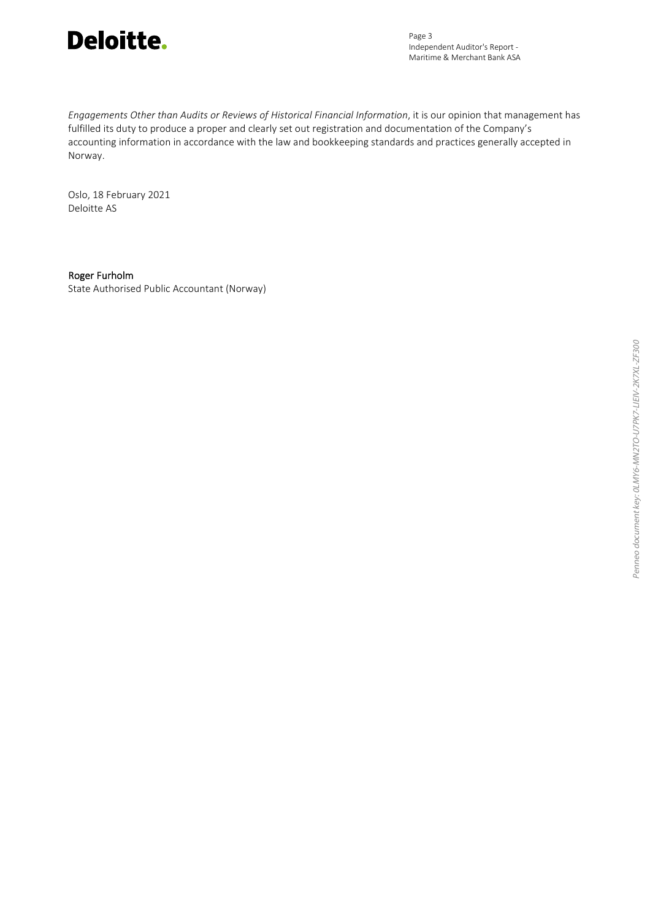

Page 3 Independent Auditor's Report - Maritime & Merchant Bank ASA

*Engagements Other than Audits or Reviews of Historical Financial Information*, it is our opinion that management has fulfilled its duty to produce a proper and clearly set out registration and documentation of the Company's accounting information in accordance with the law and bookkeeping standards and practices generally accepted in Norway.

Oslo, 18 February 2021 Deloitte AS

Roger Furholm

State Authorised Public Accountant (Norway)